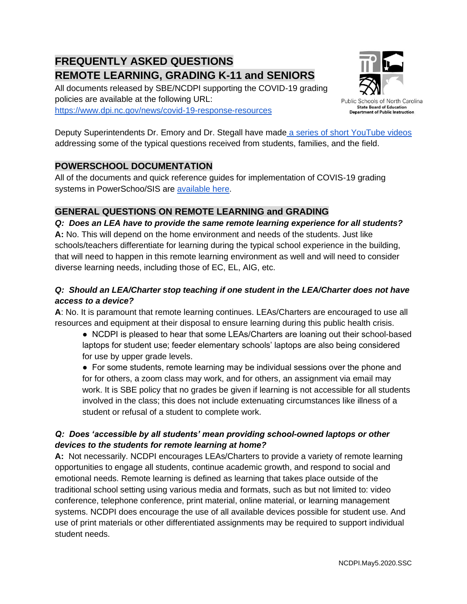# **FREQUENTLY ASKED QUESTIONS REMOTE LEARNING, GRADING K-11 and SENIORS**

All documents released by SBE/NCDPI supporting the COVID-19 grading policies are available at the following URL: <https://www.dpi.nc.gov/news/covid-19-response-resources>



Public Schools of North Carolina **State Board of Education Department of Public Instruction** 

Deputy Superintendents Dr. Emory and Dr. Stegall have made [a series of short YouTube videos](https://www.youtube.com/playlist?list=PL6JYMm0YidCleq691jnN2oifVMjHflKWR) addressing some of the typical questions received from students, families, and the field.

# **POWERSCHOOL DOCUMENTATION**

All of the documents and quick reference guides for implementation of COVIS-19 grading systems in PowerSchoo/SIS are [available here.](https://www.dpi.nc.gov/educators/home-base/powerschool-sis/nc-sis-resources#covid-19-guidance)

## **GENERAL QUESTIONS ON REMOTE LEARNING and GRADING**

*Q: Does an LEA have to provide the same remote learning experience for all students?* **A:** No. This will depend on the home environment and needs of the students. Just like schools/teachers differentiate for learning during the typical school experience in the building, that will need to happen in this remote learning environment as well and will need to consider diverse learning needs, including those of EC, EL, AIG, etc.

## *Q: Should an LEA/Charter stop teaching if one student in the LEA/Charter does not have access to a device?*

**A**: No. It is paramount that remote learning continues. LEAs/Charters are encouraged to use all resources and equipment at their disposal to ensure learning during this public health crisis.

● NCDPI is pleased to hear that some LEAs/Charters are loaning out their school-based laptops for student use; feeder elementary schools' laptops are also being considered for use by upper grade levels.

● For some students, remote learning may be individual sessions over the phone and for for others, a zoom class may work, and for others, an assignment via email may work. It is SBE policy that no grades be given if learning is not accessible for all students involved in the class; this does not include extenuating circumstances like illness of a student or refusal of a student to complete work.

## *Q: Does 'accessible by all students' mean providing school-owned laptops or other devices to the students for remote learning at home?*

**A:** Not necessarily. NCDPI encourages LEAs/Charters to provide a variety of remote learning opportunities to engage all students, continue academic growth, and respond to social and emotional needs. Remote learning is defined as learning that takes place outside of the traditional school setting using various media and formats, such as but not limited to: video conference, telephone conference, print material, online material, or learning management systems. NCDPI does encourage the use of all available devices possible for student use. And use of print materials or other differentiated assignments may be required to support individual student needs.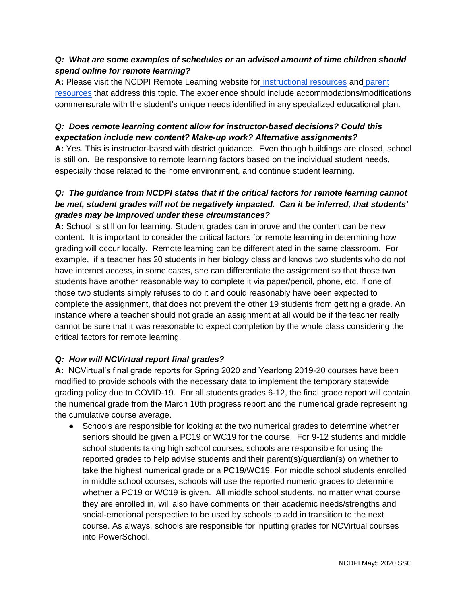#### *Q: What are some examples of schedules or an advised amount of time children should spend online for remote learning?*

A: Please visit the NCDPI Remote Learning website for *[instructional resources](https://sites.google.com/dpi.nc.gov/remote-learning-resources/home)* and parent [resources](https://sites.google.com/dpi.nc.gov/remote-learning-resources/home/parent-resources) that address this topic. The experience should include accommodations/modifications commensurate with the student's unique needs identified in any specialized educational plan.

#### *Q: Does remote learning content allow for instructor-based decisions? Could this expectation include new content? Make-up work? Alternative assignments?*

**A:** Yes. This is instructor-based with district guidance. Even though buildings are closed, school is still on. Be responsive to remote learning factors based on the individual student needs, especially those related to the home environment, and continue student learning.

#### *Q: The guidance from NCDPI states that if the critical factors for remote learning cannot be met, student grades will not be negatively impacted. Can it be inferred, that students' grades may be improved under these circumstances?*

**A:** School is still on for learning. Student grades can improve and the content can be new content. It is important to consider the critical factors for remote learning in determining how grading will occur locally. Remote learning can be differentiated in the same classroom. For example, if a teacher has 20 students in her biology class and knows two students who do not have internet access, in some cases, she can differentiate the assignment so that those two students have another reasonable way to complete it via paper/pencil, phone, etc. If one of those two students simply refuses to do it and could reasonably have been expected to complete the assignment, that does not prevent the other 19 students from getting a grade. An instance where a teacher should not grade an assignment at all would be if the teacher really cannot be sure that it was reasonable to expect completion by the whole class considering the critical factors for remote learning.

#### *Q: How will NCVirtual report final grades?*

**A:** NCVirtual's final grade reports for Spring 2020 and Yearlong 2019-20 courses have been modified to provide schools with the necessary data to implement the temporary statewide grading policy due to COVID-19. For all students grades 6-12, the final grade report will contain the numerical grade from the March 10th progress report and the numerical grade representing the cumulative course average.

• Schools are responsible for looking at the two numerical grades to determine whether seniors should be given a PC19 or WC19 for the course. For 9-12 students and middle school students taking high school courses, schools are responsible for using the reported grades to help advise students and their parent(s)/guardian(s) on whether to take the highest numerical grade or a PC19/WC19. For middle school students enrolled in middle school courses, schools will use the reported numeric grades to determine whether a PC19 or WC19 is given. All middle school students, no matter what course they are enrolled in, will also have comments on their academic needs/strengths and social-emotional perspective to be used by schools to add in transition to the next course. As always, schools are responsible for inputting grades for NCVirtual courses into PowerSchool.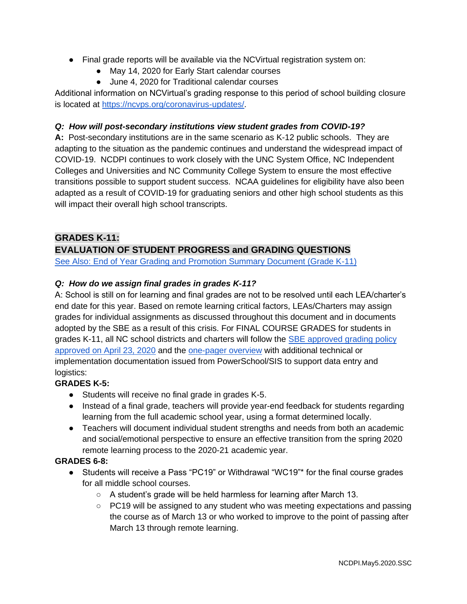- Final grade reports will be available via the NCVirtual registration system on:
	- May 14, 2020 for Early Start calendar courses
	- June 4, 2020 for Traditional calendar courses

Additional information on NCVirtual's grading response to this period of school building closure is located at [https://ncvps.org/coronavirus-updates/.](https://ncvps.org/coronavirus-updates/)

#### *Q: How will post-secondary institutions view student grades from COVID-19?*

**A:** Post-secondary institutions are in the same scenario as K-12 public schools. They are adapting to the situation as the pandemic continues and understand the widespread impact of COVID-19. NCDPI continues to work closely with the UNC System Office, NC Independent Colleges and Universities and NC Community College System to ensure the most effective transitions possible to support student success. NCAA guidelines for eligibility have also been adapted as a result of COVID-19 for graduating seniors and other high school students as this will impact their overall high school transcripts.

#### **GRADES K-11:**

# **EVALUATION OF STUDENT PROGRESS and GRADING QUESTIONS**

[See Also: End of Year Grading and Promotion Summary Document \(Grade K-11\)](https://content.govdelivery.com/attachments/NCSBE/2020/04/23/file_attachments/1434773/FINAL-FAQ-One%20Pager-Student%20Grading%20and%20Promotion%204.23.20.pdf)

#### *Q: How do we assign final grades in grades K-11?*

A: School is still on for learning and final grades are not to be resolved until each LEA/charter's end date for this year. Based on remote learning critical factors, LEAs/Charters may assign grades for individual assignments as discussed throughout this document and in documents adopted by the SBE as a result of this crisis. For FINAL COURSE GRADES for students in grades K-11, all NC school districts and charters will follow the **SBE** approved grading policy [approved on April 23, 2020](https://content.govdelivery.com/attachments/NCSBE/2020/04/23/file_attachments/1434782/FINAL-SBE%20Recommendations%20GradingK-11-4.23.20.pdf) and the [one-pager overview](https://content.govdelivery.com/attachments/NCSBE/2020/04/23/file_attachments/1434773/FINAL-FAQ-One%20Pager-Student%20Grading%20and%20Promotion%204.23.20.pdf) with additional technical or implementation documentation issued from PowerSchool/SIS to support data entry and logistics:

#### **GRADES K-5:**

- Students will receive no final grade in grades K-5.
- Instead of a final grade, teachers will provide year-end feedback for students regarding learning from the full academic school year, using a format determined locally.
- Teachers will document individual student strengths and needs from both an academic and social/emotional perspective to ensure an effective transition from the spring 2020 remote learning process to the 2020-21 academic year.

#### **GRADES 6-8:**

- Students will receive a Pass "PC19" or Withdrawal "WC19"\* for the final course grades for all middle school courses.
	- A student's grade will be held harmless for learning after March 13.
	- PC19 will be assigned to any student who was meeting expectations and passing the course as of March 13 or who worked to improve to the point of passing after March 13 through remote learning.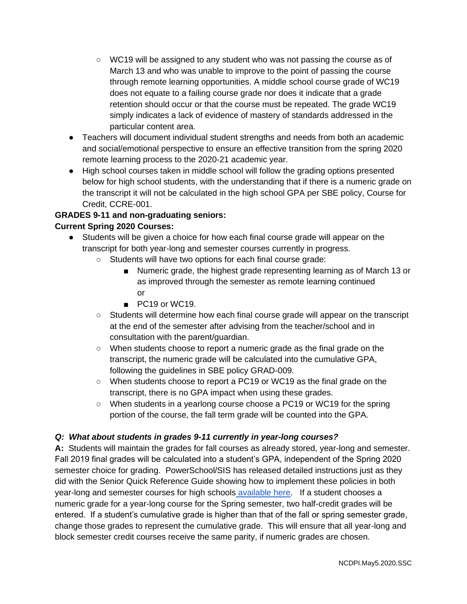- WC19 will be assigned to any student who was not passing the course as of March 13 and who was unable to improve to the point of passing the course through remote learning opportunities. A middle school course grade of WC19 does not equate to a failing course grade nor does it indicate that a grade retention should occur or that the course must be repeated. The grade WC19 simply indicates a lack of evidence of mastery of standards addressed in the particular content area.
- Teachers will document individual student strengths and needs from both an academic and social/emotional perspective to ensure an effective transition from the spring 2020 remote learning process to the 2020-21 academic year.
- High school courses taken in middle school will follow the grading options presented below for high school students, with the understanding that if there is a numeric grade on the transcript it will not be calculated in the high school GPA per SBE policy, Course for Credit, CCRE-001.

#### **GRADES 9-11 and non-graduating seniors: Current Spring 2020 Courses:**

- Students will be given a choice for how each final course grade will appear on the transcript for both year-long and semester courses currently in progress.
	- Students will have two options for each final course grade:
		- Numeric grade, the highest grade representing learning as of March 13 or as improved through the semester as remote learning continued or
		- PC19 or WC19.
	- Students will determine how each final course grade will appear on the transcript at the end of the semester after advising from the teacher/school and in consultation with the parent/guardian.
	- When students choose to report a numeric grade as the final grade on the transcript, the numeric grade will be calculated into the cumulative GPA, following the guidelines in SBE policy GRAD-009.
	- When students choose to report a PC19 or WC19 as the final grade on the transcript, there is no GPA impact when using these grades.
	- When students in a yearlong course choose a PC19 or WC19 for the spring portion of the course, the fall term grade will be counted into the GPA.

#### *Q: What about students in grades 9-11 currently in year-long courses?*

**A:** Students will maintain the grades for fall courses as already stored, year-long and semester. Fall 2019 final grades will be calculated into a student's GPA, independent of the Spring 2020 semester choice for grading. PowerSchool/SIS has released detailed instructions just as they did with the Senior Quick Reference Guide showing how to implement these policies in both year-long and semester courses for high schools [available here.](https://www.dpi.nc.gov/educators/home-base/powerschool-sis/nc-sis-resources#covid-19-guidance) If a student chooses a numeric grade for a year-long course for the Spring semester, two half-credit grades will be entered. If a student's cumulative grade is higher than that of the fall or spring semester grade, change those grades to represent the cumulative grade. This will ensure that all year-long and block semester credit courses receive the same parity, if numeric grades are chosen.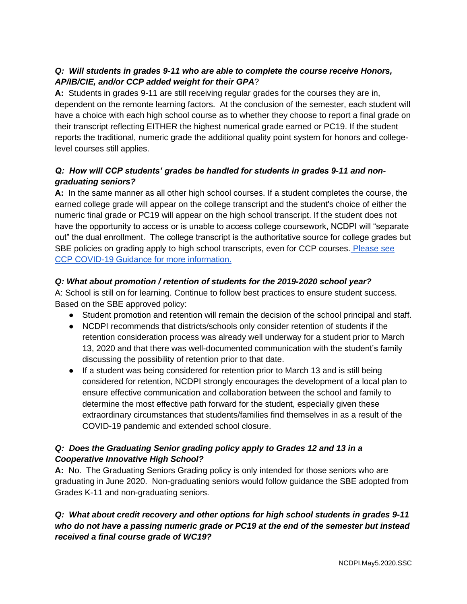# *Q: Will students in grades 9-11 who are able to complete the course receive Honors, AP/IB/CIE, and/or CCP added weight for their GPA*?

**A:** Students in grades 9-11 are still receiving regular grades for the courses they are in, dependent on the remonte learning factors. At the conclusion of the semester, each student will have a choice with each high school course as to whether they choose to report a final grade on their transcript reflecting EITHER the highest numerical grade earned or PC19. If the student reports the traditional, numeric grade the additional quality point system for honors and collegelevel courses still applies.

## *Q: How will CCP students' grades be handled for students in grades 9-11 and nongraduating seniors?*

**A:** In the same manner as all other high school courses. If a student completes the course, the earned college grade will appear on the college transcript and the student's choice of either the numeric final grade or PC19 will appear on the high school transcript. If the student does not have the opportunity to access or is unable to access college coursework, NCDPI will "separate out" the dual enrollment. The college transcript is the authoritative source for college grades but SBE policies on grading apply to high school transcripts, even for CCP courses. [Please see](https://files.nc.gov/dpi/documents/advancedlearning/ccp.covid19guidance.3.27.20.final_.pdf)  [CCP COVID-19 Guidance for more information.](https://files.nc.gov/dpi/documents/advancedlearning/ccp.covid19guidance.3.27.20.final_.pdf)

## *Q: What about promotion / retention of students for the 2019-2020 school year?*

A: School is still on for learning. Continue to follow best practices to ensure student success. Based on the SBE approved policy:

- Student promotion and retention will remain the decision of the school principal and staff.
- NCDPI recommends that districts/schools only consider retention of students if the retention consideration process was already well underway for a student prior to March 13, 2020 and that there was well-documented communication with the student's family discussing the possibility of retention prior to that date.
- If a student was being considered for retention prior to March 13 and is still being considered for retention, NCDPI strongly encourages the development of a local plan to ensure effective communication and collaboration between the school and family to determine the most effective path forward for the student, especially given these extraordinary circumstances that students/families find themselves in as a result of the COVID-19 pandemic and extended school closure.

## *Q: Does the Graduating Senior grading policy apply to Grades 12 and 13 in a Cooperative Innovative High School?*

**A:** No. The Graduating Seniors Grading policy is only intended for those seniors who are graduating in June 2020. Non-graduating seniors would follow guidance the SBE adopted from Grades K-11 and non-graduating seniors.

## *Q: What about credit recovery and other options for high school students in grades 9-11 who do not have a passing numeric grade or PC19 at the end of the semester but instead received a final course grade of WC19?*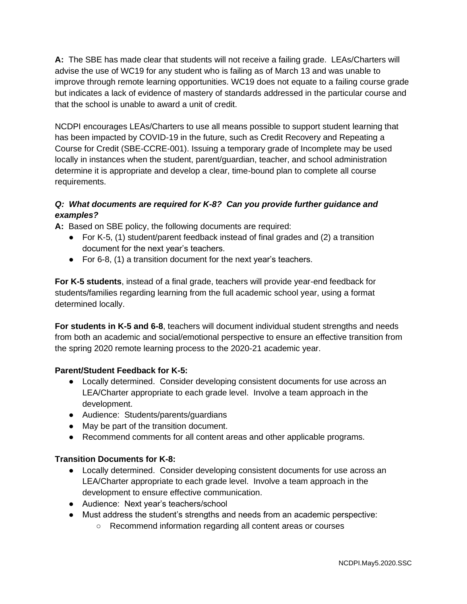**A:** The SBE has made clear that students will not receive a failing grade. LEAs/Charters will advise the use of WC19 for any student who is failing as of March 13 and was unable to improve through remote learning opportunities. WC19 does not equate to a failing course grade but indicates a lack of evidence of mastery of standards addressed in the particular course and that the school is unable to award a unit of credit.

NCDPI encourages LEAs/Charters to use all means possible to support student learning that has been impacted by COVID-19 in the future, such as Credit Recovery and Repeating a Course for Credit (SBE-CCRE-001). Issuing a temporary grade of Incomplete may be used locally in instances when the student, parent/guardian, teacher, and school administration determine it is appropriate and develop a clear, time-bound plan to complete all course requirements.

# *Q: What documents are required for K-8? Can you provide further guidance and examples?*

**A:** Based on SBE policy, the following documents are required:

- For K-5, (1) student/parent feedback instead of final grades and (2) a transition document for the next year's teachers.
- For 6-8, (1) a transition document for the next year's teachers.

**For K-5 students**, instead of a final grade, teachers will provide year-end feedback for students/families regarding learning from the full academic school year, using a format determined locally.

**For students in K-5 and 6-8**, teachers will document individual student strengths and needs from both an academic and social/emotional perspective to ensure an effective transition from the spring 2020 remote learning process to the 2020-21 academic year.

#### **Parent/Student Feedback for K-5:**

- Locally determined. Consider developing consistent documents for use across an LEA/Charter appropriate to each grade level. Involve a team approach in the development.
- Audience: Students/parents/guardians
- May be part of the transition document.
- Recommend comments for all content areas and other applicable programs.

# **Transition Documents for K-8:**

- Locally determined. Consider developing consistent documents for use across an LEA/Charter appropriate to each grade level. Involve a team approach in the development to ensure effective communication.
- Audience: Next year's teachers/school
- Must address the student's strengths and needs from an academic perspective:
	- Recommend information regarding all content areas or courses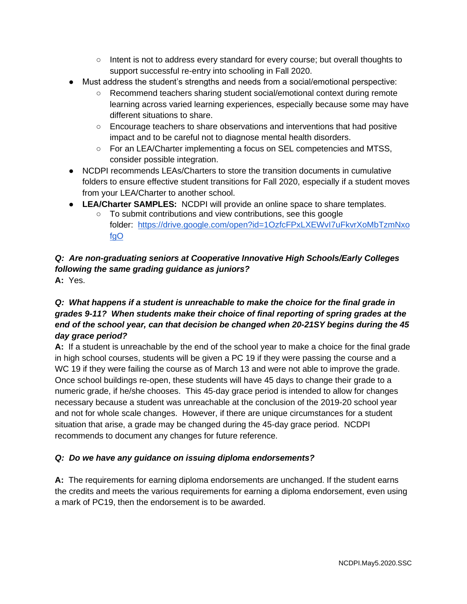- Intent is not to address every standard for every course; but overall thoughts to support successful re-entry into schooling in Fall 2020.
- Must address the student's strengths and needs from a social/emotional perspective:
	- Recommend teachers sharing student social/emotional context during remote learning across varied learning experiences, especially because some may have different situations to share.
	- Encourage teachers to share observations and interventions that had positive impact and to be careful not to diagnose mental health disorders.
	- For an LEA/Charter implementing a focus on SEL competencies and MTSS, consider possible integration.
- NCDPI recommends LEAs/Charters to store the transition documents in cumulative folders to ensure effective student transitions for Fall 2020, especially if a student moves from your LEA/Charter to another school.
- **LEA/Charter SAMPLES:** NCDPI will provide an online space to share templates.
	- To submit contributions and view contributions, see this google folder: [https://drive.google.com/open?id=1OzfcFPxLXEWvI7uFkvrXoMbTzmNxo](https://drive.google.com/open?id=1OzfcFPxLXEWvI7uFkvrXoMbTzmNxofgO) [fgO](https://drive.google.com/open?id=1OzfcFPxLXEWvI7uFkvrXoMbTzmNxofgO)

# *Q: Are non-graduating seniors at Cooperative Innovative High Schools/Early Colleges following the same grading guidance as juniors?* **A:** Yes.

## *Q: What happens if a student is unreachable to make the choice for the final grade in grades 9-11? When students make their choice of final reporting of spring grades at the end of the school year, can that decision be changed when 20-21SY begins during the 45 day grace period?*

**A:** If a student is unreachable by the end of the school year to make a choice for the final grade in high school courses, students will be given a PC 19 if they were passing the course and a WC 19 if they were failing the course as of March 13 and were not able to improve the grade. Once school buildings re-open, these students will have 45 days to change their grade to a numeric grade, if he/she chooses. This 45-day grace period is intended to allow for changes necessary because a student was unreachable at the conclusion of the 2019-20 school year and not for whole scale changes. However, if there are unique circumstances for a student situation that arise, a grade may be changed during the 45-day grace period. NCDPI recommends to document any changes for future reference.

# *Q: Do we have any guidance on issuing diploma endorsements?*

**A:** The requirements for earning diploma endorsements are unchanged. If the student earns the credits and meets the various requirements for earning a diploma endorsement, even using a mark of PC19, then the endorsement is to be awarded.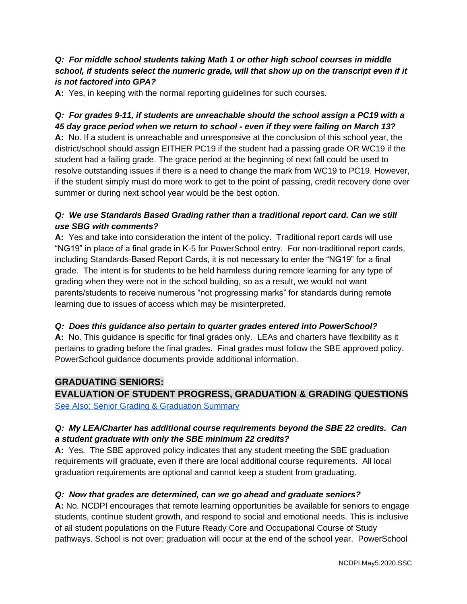#### *Q: For middle school students taking Math 1 or other high school courses in middle school, if students select the numeric grade, will that show up on the transcript even if it is not factored into GPA?*

**A:** Yes, in keeping with the normal reporting guidelines for such courses.

## *Q: For grades 9-11, if students are unreachable should the school assign a PC19 with a 45 day grace period when we return to school - even if they were failing on March 13?*

**A:** No. If a student is unreachable and unresponsive at the conclusion of this school year, the district/school should assign EITHER PC19 if the student had a passing grade OR WC19 if the student had a failing grade. The grace period at the beginning of next fall could be used to resolve outstanding issues if there is a need to change the mark from WC19 to PC19. However, if the student simply must do more work to get to the point of passing, credit recovery done over summer or during next school year would be the best option.

#### *Q: We use Standards Based Grading rather than a traditional report card. Can we still use SBG with comments?*

**A:** Yes and take into consideration the intent of the policy. Traditional report cards will use "NG19" in place of a final grade in K-5 for PowerSchool entry. For non-traditional report cards, including Standards-Based Report Cards, it is not necessary to enter the "NG19" for a final grade. The intent is for students to be held harmless during remote learning for any type of grading when they were not in the school building, so as a result, we would not want parents/students to receive numerous "not progressing marks" for standards during remote learning due to issues of access which may be misinterpreted.

#### *Q: Does this guidance also pertain to quarter grades entered into PowerSchool?*

**A:** No. This guidance is specific for final grades only. LEAs and charters have flexibility as it pertains to grading before the final grades. Final grades must follow the SBE approved policy. PowerSchool guidance documents provide additional information.

#### **GRADUATING SENIORS:**

**EVALUATION OF STUDENT PROGRESS, GRADUATION & GRADING QUESTIONS** [See Also: Senior Grading & Graduation Summary](https://drive.google.com/file/d/1kljXs0j5VMOHvRrQinpQ2grMYE3d2nHG/view?usp=sharing)

## *Q: My LEA/Charter has additional course requirements beyond the SBE 22 credits. Can a student graduate with only the SBE minimum 22 credits?*

**A:** Yes. The SBE approved policy indicates that any student meeting the SBE graduation requirements will graduate, even if there are local additional course requirements. All local graduation requirements are optional and cannot keep a student from graduating.

#### *Q: Now that grades are determined, can we go ahead and graduate seniors?*

**A:** No. NCDPI encourages that remote learning opportunities be available for seniors to engage students, continue student growth, and respond to social and emotional needs. This is inclusive of all student populations on the Future Ready Core and Occupational Course of Study pathways. School is not over; graduation will occur at the end of the school year. PowerSchool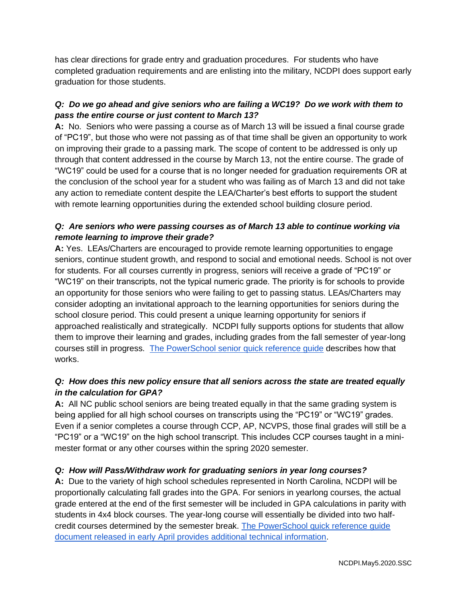has clear directions for grade entry and graduation procedures. For students who have completed graduation requirements and are enlisting into the military, NCDPI does support early graduation for those students.

## *Q: Do we go ahead and give seniors who are failing a WC19? Do we work with them to pass the entire course or just content to March 13?*

**A:** No. Seniors who were passing a course as of March 13 will be issued a final course grade of "PC19", but those who were not passing as of that time shall be given an opportunity to work on improving their grade to a passing mark. The scope of content to be addressed is only up through that content addressed in the course by March 13, not the entire course. The grade of "WC19" could be used for a course that is no longer needed for graduation requirements OR at the conclusion of the school year for a student who was failing as of March 13 and did not take any action to remediate content despite the LEA/Charter's best efforts to support the student with remote learning opportunities during the extended school building closure period.

#### *Q: Are seniors who were passing courses as of March 13 able to continue working via remote learning to improve their grade?*

**A:** Yes. LEAs/Charters are encouraged to provide remote learning opportunities to engage seniors, continue student growth, and respond to social and emotional needs. School is not over for students. For all courses currently in progress, seniors will receive a grade of "PC19" or "WC19" on their transcripts, not the typical numeric grade. The priority is for schools to provide an opportunity for those seniors who were failing to get to passing status. LEAs/Charters may consider adopting an invitational approach to the learning opportunities for seniors during the school closure period. This could present a unique learning opportunity for seniors if approached realistically and strategically. NCDPI fully supports options for students that allow them to improve their learning and grades, including grades from the fall semester of year-long courses still in progress. [The PowerSchool senior quick reference guide](https://docs.google.com/document/d/1_nxQzP5o2WeVYvIHNGevxbPKys0Z91s9r2M2OLSOyHI/edit?usp=sharing) describes how that works.

## *Q: How does this new policy ensure that all seniors across the state are treated equally in the calculation for GPA?*

**A:** All NC public school seniors are being treated equally in that the same grading system is being applied for all high school courses on transcripts using the "PC19" or "WC19" grades. Even if a senior completes a course through CCP, AP, NCVPS, those final grades will still be a "PC19" or a "WC19" on the high school transcript. This includes CCP courses taught in a minimester format or any other courses within the spring 2020 semester.

# *Q: How will Pass/Withdraw work for graduating seniors in year long courses?*

**A:** Due to the variety of high school schedules represented in North Carolina, NCDPI will be proportionally calculating fall grades into the GPA. For seniors in yearlong courses, the actual grade entered at the end of the first semester will be included in GPA calculations in parity with students in 4x4 block courses. The year-long course will essentially be divided into two halfcredit courses determined by the semester break. [The PowerSchool quick reference guide](https://docs.google.com/document/d/1_nxQzP5o2WeVYvIHNGevxbPKys0Z91s9r2M2OLSOyHI/edit?usp=sharing)  [document released in early April provides additional technical information.](https://docs.google.com/document/d/1_nxQzP5o2WeVYvIHNGevxbPKys0Z91s9r2M2OLSOyHI/edit?usp=sharing)